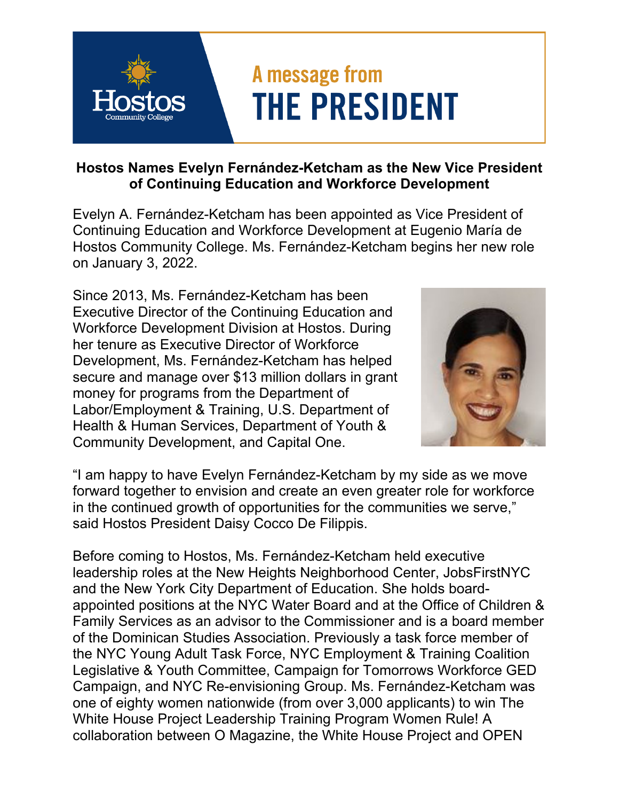## A message from **THE PRESIDENT**

**Hostos Names Evelyn Fernández-Ketcham as the New Vice President of Continuing Education and Workforce Development** 

Evelyn A. Fernández-Ketcham has been appointed as Vice President of Continuing Education and Workforce Development at Eugenio María de Hostos Community College. Ms. Fernández-Ketcham begins her new role on January 3, 2022.

Since 2013, Ms. Fernández-Ketcham has been Executive Director of the Continuing Education and Workforce Development Division at Hostos. During her tenure as Executive Director of Workforce Development, Ms. Fernández-Ketcham has helped secure and manage over \$13 million dollars in grant money for programs from the Department of Labor/Employment & Training, U.S. Department of Health & Human Services, Department of Youth & Community Development, and Capital One.



"I am happy to have Evelyn Fernández-Ketcham by my side as we move forward together to envision and create an even greater role for workforce in the continued growth of opportunities for the communities we serve," said Hostos President Daisy Cocco De Filippis.

Before coming to Hostos, Ms. Fernández-Ketcham held executive leadership roles at the New Heights Neighborhood Center, JobsFirstNYC and the New York City Department of Education. She holds boardappointed positions at the NYC Water Board and at the Office of Children & Family Services as an advisor to the Commissioner and is a board member of the Dominican Studies Association. Previously a task force member of the NYC Young Adult Task Force, NYC Employment & Training Coalition Legislative & Youth Committee, Campaign for Tomorrows Workforce GED Campaign, and NYC Re-envisioning Group. Ms. Fernández-Ketcham was one of eighty women nationwide (from over 3,000 applicants) to win The White House Project Leadership Training Program Women Rule! A collaboration between O Magazine, the White House Project and OPEN